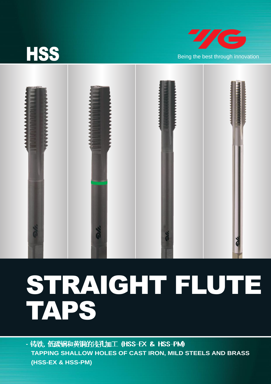

# STRAIGHT FLUTE TAPS

- 铸铁, 低碳钢和黄铜的浅孔加工 (HSS-EX & HSS-PM) **TAPPING SHALLOW HOLES OF CAST IRON, MILD STEELS AND BRASS (HSS-EX & HSS-PM)**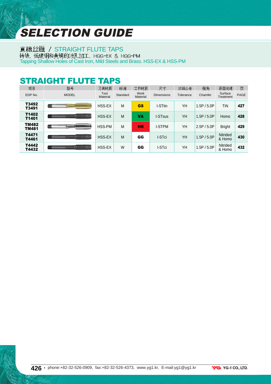## SELECTION GUIDE

直槽丝锥 / STRAIGHT FLUTE TAPS <del>转铁</del>, 低碳钢和黄铜的浅孔加工, HSS-EX & HSS-PM<br>Tapping Shallow Holes of Cast Iron, Mild Steels and Brass. HSS-EX & HSS-PM

### STRAIGHT FLUTE TAPS

| 项目                           | 型묵                                                        | 刀具材质             | 标准       | 工件材质             | 尺寸                  | 丝锥公差      | 倒角          | 表面处理                      | 页    |
|------------------------------|-----------------------------------------------------------|------------------|----------|------------------|---------------------|-----------|-------------|---------------------------|------|
| EDP No.                      | <b>MODEL</b>                                              | Tool<br>Material | Standard | Work<br>Material | <b>Dimensions</b>   | Tolerance | Chamfer     | Surface<br>Treatment      | PAGE |
| T3492<br>T3491               | <b></b><br><b>TERRITORIA ESCRIVAN</b><br><b>TERRITORY</b> | HSS-EX           | M        | <b>GS</b>        | I-STtin             | YH        | 1.5P / 5.0P | TiN                       | 427  |
| T1402<br>T1401               | <br>491331113313831                                       | HSS-EX           | M        | VA               | I-ST <sub>sus</sub> | YH        | 1.5P / 5.0P | Homo                      | 428  |
| <b>TM482</b><br><b>TM481</b> | <br><b><i><u><b>PERSONAL PROPERTY</b></u></i></b>         | HSS-PM           | M        | <b>HR</b>        | <b>I-STPM</b>       | YH        | 2.5P / 5.0P | <b>Bright</b>             | 429  |
| T4471<br>T4461               | <br>4989998899988888                                      | HSS-EX           | M        | GG               | I-STci              | YH        | 1.5P / 5.0P | <b>Nitrided</b><br>& Homo | 430  |
| T4442<br>T4432               | ,,,,,,,,,,,,,,,,,,<br>#0555515951188351                   | HSS-EX           | W        | GG               | I-STci              | YH        | 1.5P / 5.0P | Nitrided<br>& Homo        | 432  |

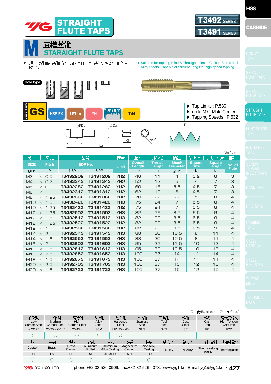

|                            |                                                                                                    |                         |                    |                                  |                          |                                  |                      |                      | $\odot$ : 优(Excellent)   | ○: 良(Good)                       |  |
|----------------------------|----------------------------------------------------------------------------------------------------|-------------------------|--------------------|----------------------------------|--------------------------|----------------------------------|----------------------|----------------------|--------------------------|----------------------------------|--|
| 低碳钢                        | 中碳钢                                                                                                | 高碳钢                     | 合金钢                |                                  | 硬化钢                      | 不锈钢                              | 工具钢                  | 铸钢                   | 铸铁                       | 高强度铸铁                            |  |
| Low<br><b>Carbon Steel</b> | Meduim<br>Carbon Steel                                                                             | High<br>Carbon Steel    | Alloy<br>Steel     |                                  | Hardened<br><b>Steel</b> | <b>Stainless</b><br><b>Steel</b> | Tool<br><b>Steel</b> | Cast<br><b>Steel</b> | Cast<br>Iron             | <b>High Tension</b><br>Čast Iron |  |
| $\sim$ C <sub>0.25</sub>   | $CO.25 - CO.45$                                                                                    | $C0.45$ ~               | <b>SCM</b>         |                                  | $HRc25 \sim 45$          | <b>SUS</b>                       | <b>SKD</b>           | <b>SC</b>            | FC                       | <b>FCD</b>                       |  |
|                            |                                                                                                    | ○                       |                    |                                  |                          |                                  |                      |                      |                          |                                  |  |
| 铜                          | 黄铜                                                                                                 | 铸铜                      | 铝轧                 | 铸铝                               | 铸镁                       | 铸锌                               | 钛合金                  | 镍合金                  | 热固性塑料                    | 热塑性塑料                            |  |
| Copper                     | <b>Brass</b>                                                                                       | <b>Brass</b><br>Casting | Aluminum<br>Rolled | Aluminum<br><b>Alloy Casting</b> | Magnesium<br>Casting     | <b>Zinc Alloy</b><br>Casting     | <b>Ti Alloy</b>      | Ni Alloy             | Thermosetting<br>plastic | thermoplastic                    |  |
| Cu                         | <b>Bs</b>                                                                                          | PB                      | <b>AL</b>          | AC, ADC                          | MC.                      | ZDC                              |                      |                      |                          |                                  |  |
| ∩                          | ∩                                                                                                  | C                       | ∩                  |                                  | O                        |                                  |                      |                      |                          |                                  |  |
| <i>'4</i> G                | phone:+82-32-526-0909, fax:+82-32-526-4373, www.yg1.kr, E-mail:yg1@yg1.kr<br>427<br>YG-1 CO., LTD. |                         |                    |                                  |                          |                                  |                      |                      |                          |                                  |  |

**HSS** 

M10 **×** 1.5 M10 **×** 1.25 M12 **×** 1.75 M12 **×** 1.5 M12 **×** 1.25 M12 **×** 1  $M14 \times 2$  $M14 \times 1.5$ M16 **×** 2 M16 **×** 1.5 M18 **×** 2.5 M18 **×** 1.5 M20 **×** 2.5 M20 **×** 1.5

**T3492423 T3492432 T3492503 T3492513 T3492522 T3492532 T3492543 T3492553 T3492603 T3492613 T3492653 T3492673 T3492703 T3492723** **T3491423 T3491432 T3491503 T3491513 T3491522 T3491532 T3491543 T3491553 T3491603 T3491613 T3491653 T3491673 T3491703 T3491723** YH3 YH2 YH3 YH<sub>3</sub> YH2 YH2 YH3 YH3 YH3 YH3 YH3 YH3 YH3 YH3

7 7 8.5 8.5 8.5 8.5 10.5 10.5 12.5 12.5 14  $1<sub>1</sub>$ 15 15

5.5 5.5 6.5 6.5 6.5 6.5 **8** 8 10  $1<sub>0</sub>$ 11 11 12 12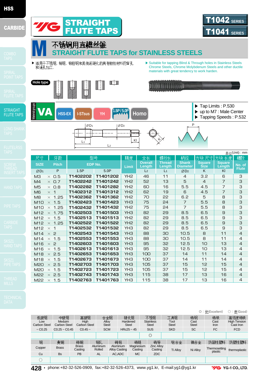





**Hole type**





- ▶ 适用于不锈钢, 铬钢, 铬钼钢和其他逐硬化的具有韧性材料的盲孔 → ▶ Suitable for tapping Blind & Through holes in Stainless Steels 和通孔加工
	- Chrome Steels, Chrome Molybdenum Steels and other ductile materials with great tendency to work harden.





|                                     |          |                |                 |                          |                         |                                 |                              |                         | 单位(Unit): mm           |
|-------------------------------------|----------|----------------|-----------------|--------------------------|-------------------------|---------------------------------|------------------------------|-------------------------|------------------------|
| 尺寸<br>牙距                            |          | 型号             | 精度              | 全长                       | 螺纹长                     | 柄径                              | 方块 尺寸                        | 方块<br>长度                | 槽数                     |
| <b>SIZE</b><br><b>Pitch</b>         |          | <b>EDP No.</b> | Limit           | <b>Overall</b><br>Length | <b>Thread</b><br>Length | <b>Shank</b><br><b>Diameter</b> | <b>Square</b><br><b>Size</b> | <b>Square</b><br>Length | No. of<br><b>Flute</b> |
| P<br>ØD1                            | 1.5P     | 5.0P           |                 | L <sub>2</sub>           | L <sub>1</sub>          | ØD2                             | K                            | KI                      |                        |
| $\times$ 0.5<br>MЗ                  | T1402202 | T1401202       | YH <sub>2</sub> | 46                       | 11                      | 4                               | 3.2                          | 6                       | З                      |
| M <sub>4</sub><br>$\times$ 0.7      | T1402242 | T1401242       | YH <sub>2</sub> | 52                       | 13                      | 5                               | $\overline{4}$               | 7                       | З                      |
| M <sub>5</sub><br>$\times$ 0.8      | T1402282 | T1401282       | YH <sub>2</sub> | 60                       | 16                      | 5.5                             | 4.5                          | 7                       | З                      |
| M <sub>6</sub><br>$\times$ 1        | T1402312 | T1401312       | YH <sub>2</sub> | 62                       | 19                      | 6                               | 4.5                          | 7                       | З                      |
| M <sub>8</sub><br>$\times$ 1.25     | T1402362 | T1401362       | YH <sub>2</sub> | 70                       | 55                      | 6.2                             | 5                            | 8                       | З                      |
| $\times$ 1.5<br>M10                 | T1402423 | T1401423       | YH <sub>3</sub> | 75                       | 24                      | 7                               | 5.5                          | 8                       | З                      |
| 1.25<br>M <sub>10</sub><br>$\times$ | T1402432 | T1401432       | YH <sub>2</sub> | 75                       | 24                      | $\overline{7}$                  | 5.5                          | 8                       | З                      |
| 1.75<br>M12<br>$\times$             | T1402503 | T1401503       | YH <sub>3</sub> | 82                       | 29                      | 8.5                             | 6.5                          | $\mathsf g$             | З                      |
| M12<br>1.5<br>$\times$              | T1402513 | T1401513       | YH <sub>2</sub> | 82                       | 29                      | 8.5                             | 6.5                          | 9                       | З                      |
| 1.25<br>M12<br>$\times$             | T1402522 | T1401522       | YH <sub>2</sub> | 82                       | 29                      | 8.5                             | 6.5                          | 9                       | З                      |
| M12<br>$\overline{1}$<br>$\times$   | T1402532 | T1401532       | YH3             | 82                       | 29                      | 8.5                             | 6.5                          | 9                       | З                      |
| $\times$ 2<br>M14                   | T1402543 | T1401543       | YH <sub>3</sub> | 88                       | 30                      | 10.5                            | 8                            | 11                      | $\overline{4}$         |
| M14<br>1.5<br>$\times$              | T1402553 | T1401553       | YH <sub>3</sub> | 88                       | 30                      | 10.5                            | 8                            | 11                      | $\overline{4}$         |
| $\overline{c}$<br>M16<br>$\times$   | T1402603 | T1401603       | YH <sub>3</sub> | 95                       | 32                      | 12.5                            | 10                           | 13                      | $\overline{4}$         |
| M16<br>1.5<br>$\times$              | T1402613 | T1401613       | YH <sub>3</sub> | 95                       | 32                      | 12.5                            | 10                           | 13                      | $\overline{4}$         |
| M18<br>2.5<br>$\times$              | T1402653 | T1401653       | YH <sub>3</sub> | 100                      | 37                      | 14                              | 11                           | 14                      | $\overline{4}$         |
| M18<br>1.5<br>$\times$              | T1402673 | T1401673       | YH <sub>3</sub> | 100                      | 37                      | 14                              | 11                           | 14                      | 4                      |
| 2.5<br>M20<br>$\times$              | T1402703 | T1401703       | YH <sub>3</sub> | 105                      | 37                      | 15                              | 12                           | 15                      | $\overline{4}$         |
| M20<br>1.5<br>$\times$              | T1402723 | T1401723       | YH <sub>3</sub> | 105                      | 37                      | 15                              | 12                           | 15                      | 4                      |
| 2.5<br>M22<br>$\times$              | T1402743 | T1401743       | YH <sub>3</sub> | 115                      | 38                      | 17                              | 13                           | 16                      | $\overline{4}$         |
| 1.5<br>M22<br>$\times$              | T1402763 | T1401763       | YH3             | 115                      | 38                      | 17                              | 13                           | 16                      | $\overline{4}$         |

◎ : 优(Excellent) ○ : 良(Good) 合金钢 硬化钢 不锈钢 工具钢 铸钢 铸铁 高强度铸铁 低碳钢 中碳钢 高碳钢 Low Meduim **Hardened Stainless** Cast High Carbon Steel Alloy Steel Tool Steel Cast Steel High Tension Cast Iron Carbon Steel Carbon Steel **Steel Steel** Iron  $CO.25 - CO.45$  $C0.45 -$ **SCM**  $HRC25 \sim 45$ SUS **SKD SC** FC FCD  $~1 - 0.25$  $\circledcirc$ 铜 黄铜 铸铜 铅轧 铸铝 辯美 铸锌 钛合金 镍合金 热固性塑料 热塑性塑料 Brass Aluminum Rolled Aluminum Alloy Casting Magnesium Casting Zinc Alloy Casting Copper Brass Ti Alloy Ni Alloy Thermosetting<br>plastic **Casting** thermoplastic PB AC,ADC MC ZDC Cu Bs AL  $\bigcirc$ 

**428 •** phone:+82-32-526-0909, fax:+82-32-526-4373, www.yg1.kr, E-mail:yg1@yg1.kr

**VG** YG-1 CO., LTD.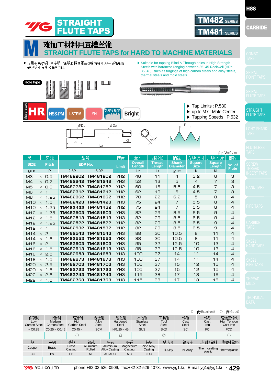

| nand | a ma | œ |
|------|------|---|

◎ : (Excellent) ◯ : (Good) 工具钢 低碳钢 中碳钢 高碳钢 合金钢 硬化钢 不锈钢 铸钢 铸铁 高强度铸铁 Low Meduim **High** Hardened **Stainless** Tool Cast Alloy Steel Cast Steel High Tension Cast Iron Carbon Steel Carbon Steel Carbon Steel Steel Steel Steel Iron **SKD SC**  $CO.25 \sim CO.45$  $C_0$ .45 ~ **SCM SUS** FC FCD  $~1$  CO 25  $HRc25 \approx 45$ ○◎◎ ○ 铜 黄铜 铸铜 铝轧 铸铝 铸镁 铸锌 钛合金 镍合金 热固性塑料 热塑性塑料 Brass Aluminum Aluminum Zinc Alloy Magnesium Casting Copper Brass Alloy Casting Ti Alloy Ni Alloy Thermosetting<br>plastic **Casting** Rolled Casting thermoplastic Cu Bs PB AL AC,ADC MC ZDC

**VG** YG-1 CO., LTD.

M6 **×** 1 M8 **×** 1.25 M10 **×** 1.5 M10 **×** 1.25 M12 **×** 1.75 M12 **×** 1.5 M12 **×** 1.25 M12 **×** 1 M14 **×** 2 M14 **×** 1.5 M16 **×** 2 M16 **×** 1.5 M18 **×** 2.5 M18 **×** 1.5 M20 **×** 2.5 M20 **×** 1.5 M22 **×** 2.5 M22 **×** 1.5

**TM482312 TM482362 TM482423 TM482432 TM482503 TM482513 TM482522 TM482532 TM482543 TM482553 TM482603 TM482613 TM482653 TM482673 TM482703 TM482723 TM482743 TM482763**

**TM481312 TM481362 TM481423 TM481432 TM481503 TM481513 TM481522 TM481532 TM481543 TM481553 TM481603 TM481613 TM481653 TM481673 TM481703 TM481723 TM481743 TM481763** YH2 YH2 YH3 YH2 YH3 YH<sub>3</sub> YH2 YH<sub>2</sub> YH3 YH3 YH3 YH3 YH3 YH3 YH3 YH3 YH<sub>3</sub> YH3

6 6.2 7 7 8.5 8.5 8.5 8.5  $10.5$  $10.5$ 12.5 12.5 14  $1<sub>1</sub>$ 15 15 17 17

4.5 5 5.5 5.5 6.5 6.5 6.5 6.5 8 8 10  $1<sup>1</sup>$ 11 11 12 12 13 13

phone:+82-32-526-0909, fax:+82-32-526-4373, www.yg1.kr, E-mail:yg1@yg1.kr **• 429**

**HSS**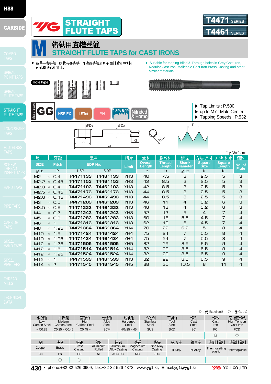







|                            |                               |                         |                    |                                  |                          |                      |  |                              |                                  |           | $\odot$ : 优(Excellent)   | ○: 良(Good)           |                     |                                  |
|----------------------------|-------------------------------|-------------------------|--------------------|----------------------------------|--------------------------|----------------------|--|------------------------------|----------------------------------|-----------|--------------------------|----------------------|---------------------|----------------------------------|
| 低碳钢                        | 中碳钢                           | 高碳钢                     | 合金钢                |                                  |                          | 硬化钢                  |  | 不锈钢                          | 工具钢                              | 铸钢        | 铸铁                       | 高强度铸铁                |                     |                                  |
| Low<br><b>Carbon Steel</b> | Meduim<br><b>Carbon Steel</b> | High<br>Carbon Steel    | Alloy<br>Steel     |                                  | Hardened<br><b>Steel</b> |                      |  |                              | <b>Stainless</b><br><b>Steel</b> |           | Tool<br><b>Steel</b>     | Cast<br><b>Steel</b> | Cast<br><b>Iron</b> | <b>High Tension</b><br>Cast Iron |
| $\sim$ C <sub>0.25</sub>   | $CO.25 - CO.45$               | $C0.45$ ~               | <b>SCM</b>         |                                  |                          | $HRc25 - 45$         |  | <b>SUS</b>                   | <b>SKD</b>                       | <b>SC</b> | FC                       | <b>FCD</b>           |                     |                                  |
|                            |                               |                         |                    |                                  |                          |                      |  |                              |                                  |           | $\circledcirc$           | $\circledcirc$       |                     |                                  |
| 铜                          | 黄铜                            | 铸铜                      | 铅轧                 | 铸铝                               |                          | 铸镁                   |  | 铸锌                           | 钛合金                              | 镍合金       | 热固性塑料                    | 热塑性塑料                |                     |                                  |
| Copper                     | <b>Brass</b>                  | <b>Brass</b><br>Casting | Aluminum<br>Rolled | Aluminum<br><b>Alloy Casting</b> |                          | Magnesium<br>Casting |  | <b>Zinc Alloy</b><br>Casting | <b>Ti Allov</b>                  | Ni Alloy  | Thermosetting<br>plastic | thermoplastic        |                     |                                  |
| Cu                         | <b>Bs</b>                     | PB                      | <b>AL</b>          | AC.ADC                           |                          | <b>MC</b>            |  | ZDC                          |                                  |           |                          |                      |                     |                                  |
|                            |                               |                         |                    |                                  |                          |                      |  |                              |                                  |           |                          |                      |                     |                                  |

**430 •** phone:+82-32-526-0909, fax:+82-32-526-4373, www.yg1.kr, E-mail:yg1@yg1.kr

**VG** YG-1 CO., LTD.

▶ ▶ Suitable for tapping Blind & Through holes in Grey Cast Iron, **Hole type**  $2|2$ **CONTROL** 

**铸铁用直槽丝锥**<br>STRAIGHT FLUTE TAPS for CAST IRONS

Nodular Cast Iron, Malleable Cast Iron Brass Casting and other similar materials.

**ATALIANA** 



|                                       |                      |                 |                          |                         |                                 |                              |                         | 单位(Unit): mm           |
|---------------------------------------|----------------------|-----------------|--------------------------|-------------------------|---------------------------------|------------------------------|-------------------------|------------------------|
| 牙距<br>尺寸                              | 型号                   | 精度              | 全长                       | 螺纹长                     | 柄径                              | 方块 尺寸                        | 方块长度                    | 槽数                     |
| <b>SIZE</b><br><b>Pitch</b>           | EDP No.              | <b>Limit</b>    | <b>Overall</b><br>Length | <b>Thread</b><br>Length | <b>Shank</b><br><b>Diameter</b> | <b>Square</b><br><b>Size</b> | <b>Square</b><br>Length | No. of<br><b>Flute</b> |
| P<br>ØD <sub>1</sub>                  | 1.5P<br>5.0P         |                 | L <sub>2</sub>           | L <sub>1</sub>          | ØD2                             | K                            | KI                      |                        |
| M <sup>2</sup><br>O.4<br>$\times$     | T4471133<br>T4461133 | YH <sub>3</sub> | 40                       | 7.5                     | З                               | 2.5                          | 5                       | З                      |
| M <sub>2</sub> .2<br>0.45<br>$\times$ | T4471153<br>T4461153 | YH <sub>3</sub> | 42                       | 8.5                     | З                               | 2.5                          | 5                       | 3                      |
| M2.3<br>O.4<br>$\times$               | T4471193<br>T4461193 | YH <sub>3</sub> | 42                       | 8.5                     | З                               | 2.5                          | 5                       | З                      |
| M2.5<br>0.45<br>$\times$              | T4471173<br>T4461173 | YH <sub>3</sub> | 44                       | 8.5                     | 3                               | 2.5                          | 5                       | 3                      |
| M <sub>2.6</sub><br>$\times$ 0.45     | T4471493<br>T4461493 | YH <sub>3</sub> | 44                       | 8.5                     | 3                               | 2.5                          | 5                       | З                      |
| M <sub>3</sub><br>$\times$ 0.5        | T4471203<br>T4461203 | YH <sub>3</sub> | 46                       | 11                      | $\overline{4}$                  | 3.2                          | 6                       | 3                      |
| M3.5<br>O.6<br>$\times$               | T4471223<br>T4461223 | YH <sub>3</sub> | 48                       | 13                      | $\overline{4}$                  | 3.2                          | 6                       | З                      |
| M <sub>4</sub><br>$\times$ 0.7        | T4471243<br>T4461243 | YH <sub>3</sub> | 52                       | 13                      | 5                               | $\overline{4}$               | $\overline{7}$          | $\overline{4}$         |
| M <sub>5</sub><br>$\times$ 0.8        | T4471283<br>T4461283 | YH <sub>3</sub> | 60                       | 16                      | 5.5                             | 4.5                          | $\overline{7}$          | $\overline{4}$         |
| M <sub>6</sub><br>$\times$ 1          | T4471313<br>T4461313 | YH <sub>3</sub> | 62                       | 19                      | 6                               | 4.5                          | $\overline{7}$          | $\overline{4}$         |
| 1.25<br>M <sub>8</sub><br>$\times$    | T4471364<br>T4461364 | YH4             | 70                       | 55                      | 6.2                             | 5                            | 8                       | $\overline{4}$         |
| 1.5<br>M <sub>10</sub><br>$\times$    | T4471424<br>T4461424 | YH4             | 75                       | 24                      | $\overline{7}$                  | 5.5                          | 8                       | $\overline{4}$         |
| 1.25<br>M <sub>10</sub><br>$\times$   | T4471434<br>T4461434 | YH4             | 75                       | 24                      | $\overline{7}$                  | 5.5                          | 8                       | 4                      |
| 1.75<br>M12<br>$\times$               | T4471505<br>T4461505 | YH <sub>5</sub> | 82                       | 29                      | 8.5                             | 6.5                          | 9                       | $\overline{4}$         |
| M12<br>1.5<br>$\times$                | T4471514<br>T4461514 | YH4             | 82                       | 29                      | 8.5                             | 6.5                          | 9                       | $\overline{4}$         |
| 1.25<br>M12<br>$\times$               | T4471524<br>T4461524 | YH4             | 82                       | 56                      | 8.5                             | 6.5                          | 9                       | $\overline{4}$         |
| M12<br>1<br>$\times$                  | T4471533<br>T4461533 | YH <sub>3</sub> | 82                       | 29                      | 8.5                             | 6.5                          | 9                       | 4                      |
| $\times$ 2<br>M <sub>14</sub>         | T4471545<br>T4461545 | YH <sub>5</sub> | 88                       | 30                      | 10.5                            | 8                            | 11                      | $\overline{4}$         |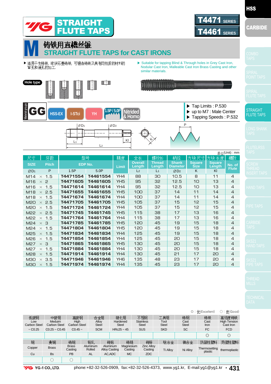

|                             |                 |          |          | $+1$ <sup>x</sup> ( $\sim$ $+$ $\sim$ $+$ $\sim$ $+$ $\sim$ $+$ |                |                |                 |               |               |                |  |  |
|-----------------------------|-----------------|----------|----------|-----------------------------------------------------------------|----------------|----------------|-----------------|---------------|---------------|----------------|--|--|
| 尺寸                          | 牙距              |          | 型号       | 精度                                                              | 全长             | 螺纹长            | 柄径              | 方块尺寸          | 方块 长度         | 槽数             |  |  |
| <b>SIZE</b>                 | <b>Pitch</b>    |          | EDP No.  |                                                                 | <b>Overall</b> | Thread         | <b>Shank</b>    | <b>Square</b> | <b>Square</b> | No. of         |  |  |
|                             |                 |          |          | Limit                                                           | Length         | Length         | <b>Diameter</b> | <b>Size</b>   | <b>Length</b> | <b>Flute</b>   |  |  |
| ØD1                         | P               | 1.5P     | 5.0P     |                                                                 | L <sub>2</sub> | L <sub>1</sub> | ØD2             | K             | KI            |                |  |  |
| M14<br>$\times$             | 1.5             | T4471554 | T4461554 | YH4                                                             | 88             | 30             | 10.5            | 8             | 11            | $\overline{4}$ |  |  |
| M16<br>$\times$             | $\mathsf{P}$    | T4471605 | T4461605 | YH <sub>5</sub>                                                 | 95             | 32             | 12.5            | 10            | 13            | $\overline{4}$ |  |  |
| M16<br>$\times$             | 1.5             | T4471614 | T4461614 | YH4                                                             | 95             | 32             | 12.5            | 10            | 13            | $\overline{4}$ |  |  |
| M18                         | 2.5<br>$\times$ | T4471655 | T4461655 | YH <sub>5</sub>                                                 | 100            | 37             | 14              | 11            | 14            | $\overline{4}$ |  |  |
| M18                         | 1.5<br>$\times$ | T4471674 | T4461674 | YH4                                                             | 100            | 37             | 14              | 11            | 14            | $\overline{4}$ |  |  |
| M <sub>20</sub>             | 2.5<br>$\times$ | T4471705 | T4461705 | YH <sub>5</sub>                                                 | 105            | 37             | 15              | 12            | 15            | $\overline{4}$ |  |  |
| M20<br>$\times$             | 1.5             | T4471724 | T4461724 | YH4                                                             | 105            | 37             | 15              | 12            | 15            | $\overline{4}$ |  |  |
| M22<br>$\times$             | 2.5             | T4471745 | T4461745 | YH <sub>5</sub>                                                 | 115            | 38             | 17              | 13            | 16            | $\overline{4}$ |  |  |
| M22<br>$\times$             | 1.5             | T4471764 | T4461764 | YH4                                                             | 115            | 38             | 17              | 13            | 16            | 4              |  |  |
| M <sub>24</sub>             | 3<br>$\times$   | T4471785 | T4461785 | YH <sub>5</sub>                                                 | 120            | 45             | 19              | 15            | 18            | $\overline{a}$ |  |  |
| M24<br>$\times$             | 1.5             | T4471804 | T4461804 | YH <sub>5</sub>                                                 | 120            | 45             | 19              | 15            | 18            | $\overline{4}$ |  |  |
| M <sub>25</sub><br>$\times$ | 1.5             | T4471834 | T4461834 | YH4                                                             | 125            | 45             | 19              | 15            | 18            | $\overline{4}$ |  |  |
| M26<br>$\times$             | 1.5             | T4471854 | T4461854 | YH4                                                             | 125            | 45             | 20              | 15            | 18            | 4              |  |  |
| M <sub>27</sub>             | 3<br>$\times$   | T4471865 | T4461865 | YH <sub>5</sub>                                                 | 130            | 45             | 20              | 15            | 18            | $\overline{4}$ |  |  |
| M <sub>27</sub><br>$\times$ | 1.5             | T4471884 | T4461884 | YH4                                                             | 130            | 45             | 20              | 15            | 18            | $\overline{4}$ |  |  |
| M <sub>28</sub>             | 1.5<br>$\times$ | T4471914 | T4461914 | YH4                                                             | 130            | 45             | 21              | 17            | 20            | $\overline{4}$ |  |  |
| <b>M30</b>                  | 3.5<br>$\times$ | T4471946 | T4461946 | YH <sub>6</sub>                                                 | 135            | 48             | 53              | 17            | 20            | $\overline{4}$ |  |  |
| <b>M30</b><br>$\times$      | 1.5             | T4471974 | T4461974 | YH4                                                             | 135            | 45             | 23              | 17            | 20            | $\overline{4}$ |  |  |

◎ : 优(Excellent) ○ : 良(Good) 低碳钢 高碳钢 合金钢 硬化钢 不锈钢 工具钢 铸钢 铸铁 高强度铸铁 中碳钢 Low Meduim Hardened **Stainless** Cast High Carbon Steel Alloy Steel Tool Steel Cast Steel High Tension Cast Iron Carbon Steel Carbon Steel Steel **Steel** Iron  $~10.25$  $CO.25 - CO.45$  $CO.45 -$ **SCM** HRc25 ~ 45 SUS **SKD SC** FC **FCD**  $\circ$   $\circ$ 铜 黄铜 铸铜 铝轧 铸铝 铸镁 铸锌 钛合金 镍合金 热固性塑料 热塑性塑料 Aluminum Brass Casting Aluminum Alloy Casting Magnesium Casting Zinc Alloy Casting Copper Brass Ti Alloy Ni Alloy Thermosetting<br>plastic Rolled thermoplastic PB AC,ADC MC ZDC Cu Bs AL  $\cap$  0

**HSS** 

#### STRAIGHT FLUTE TAPS



phone:+82-32-526-0909, fax:+82-32-526-4373, www.yg1.kr, E-mail:yg1@yg1.kr **• 431**